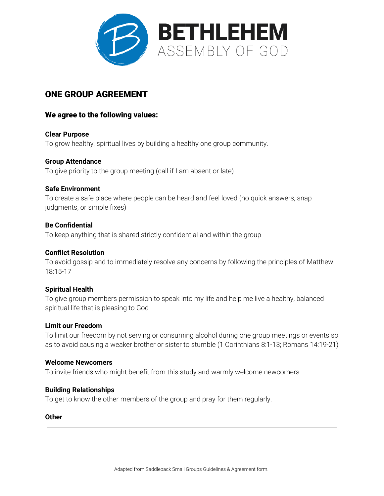

# ONE GROUP AGREEMENT

# We agree to the following values:

**Clear Purpose** To grow healthy, spiritual lives by building a healthy one group community.

## **Group Attendance**

To give priority to the group meeting (call if I am absent or late)

## **Safe Environment**

To create a safe place where people can be heard and feel loved (no quick answers, snap judgments, or simple fixes)

## **Be Confidential**

To keep anything that is shared strictly confidential and within the group

## **Conflict Resolution**

To avoid gossip and to immediately resolve any concerns by following the principles of Matthew 18:15-17

#### **Spiritual Health**

To give group members permission to speak into my life and help me live a healthy, balanced spiritual life that is pleasing to God

#### **Limit our Freedom**

To limit our freedom by not serving or consuming alcohol during one group meetings or events so as to avoid causing a weaker brother or sister to stumble (1 Corinthians 8:1-13; Romans 14:19-21)

#### **Welcome Newcomers**

To invite friends who might benefit from this study and warmly welcome newcomers

#### **Building Relationships**

To get to know the other members of the group and pray for them regularly.

#### **Other**